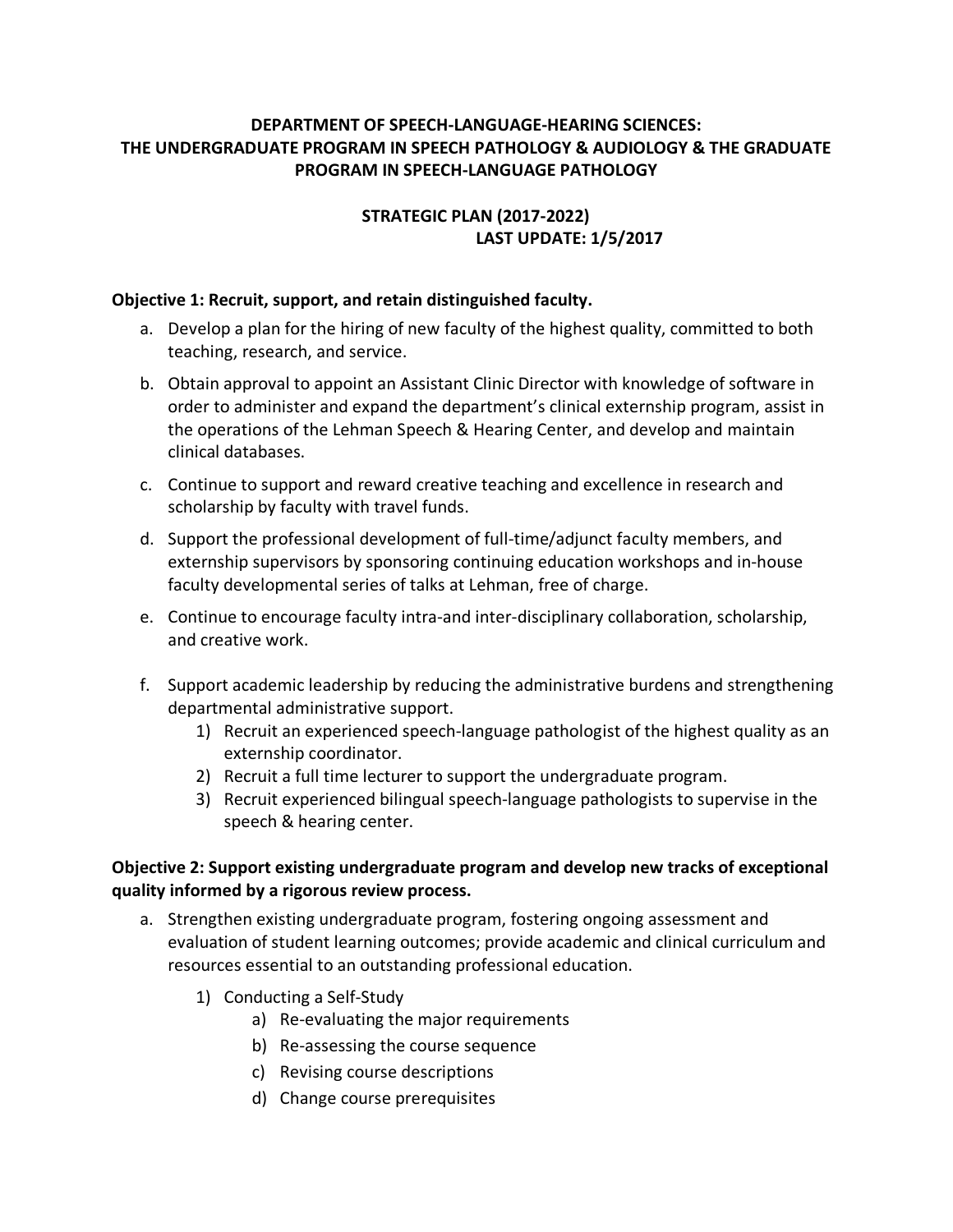### **DEPARTMENT OF SPEECH-LANGUAGE-HEARING SCIENCES: THE UNDERGRADUATE PROGRAM IN SPEECH PATHOLOGY & AUDIOLOGY & THE GRADUATE PROGRAM IN SPEECH-LANGUAGE PATHOLOGY**

# **STRATEGIC PLAN (2017-2022) LAST UPDATE: 1/5/2017**

#### **Objective 1: Recruit, support, and retain distinguished faculty.**

- a. Develop a plan for the hiring of new faculty of the highest quality, committed to both teaching, research, and service.
- b. Obtain approval to appoint an Assistant Clinic Director with knowledge of software in order to administer and expand the department's clinical externship program, assist in the operations of the Lehman Speech & Hearing Center, and develop and maintain clinical databases.
- c. Continue to support and reward creative teaching and excellence in research and scholarship by faculty with travel funds.
- d. Support the professional development of full-time/adjunct faculty members, and externship supervisors by sponsoring continuing education workshops and in-house faculty developmental series of talks at Lehman, free of charge.
- e. Continue to encourage faculty intra-and inter-disciplinary collaboration, scholarship, and creative work.
- f. Support academic leadership by reducing the administrative burdens and strengthening departmental administrative support.
	- 1) Recruit an experienced speech-language pathologist of the highest quality as an externship coordinator.
	- 2) Recruit a full time lecturer to support the undergraduate program.
	- 3) Recruit experienced bilingual speech-language pathologists to supervise in the speech & hearing center.

### **Objective 2: Support existing undergraduate program and develop new tracks of exceptional quality informed by a rigorous review process.**

- a. Strengthen existing undergraduate program, fostering ongoing assessment and evaluation of student learning outcomes; provide academic and clinical curriculum and resources essential to an outstanding professional education.
	- 1) Conducting a Self-Study
		- a) Re-evaluating the major requirements
		- b) Re-assessing the course sequence
		- c) Revising course descriptions
		- d) Change course prerequisites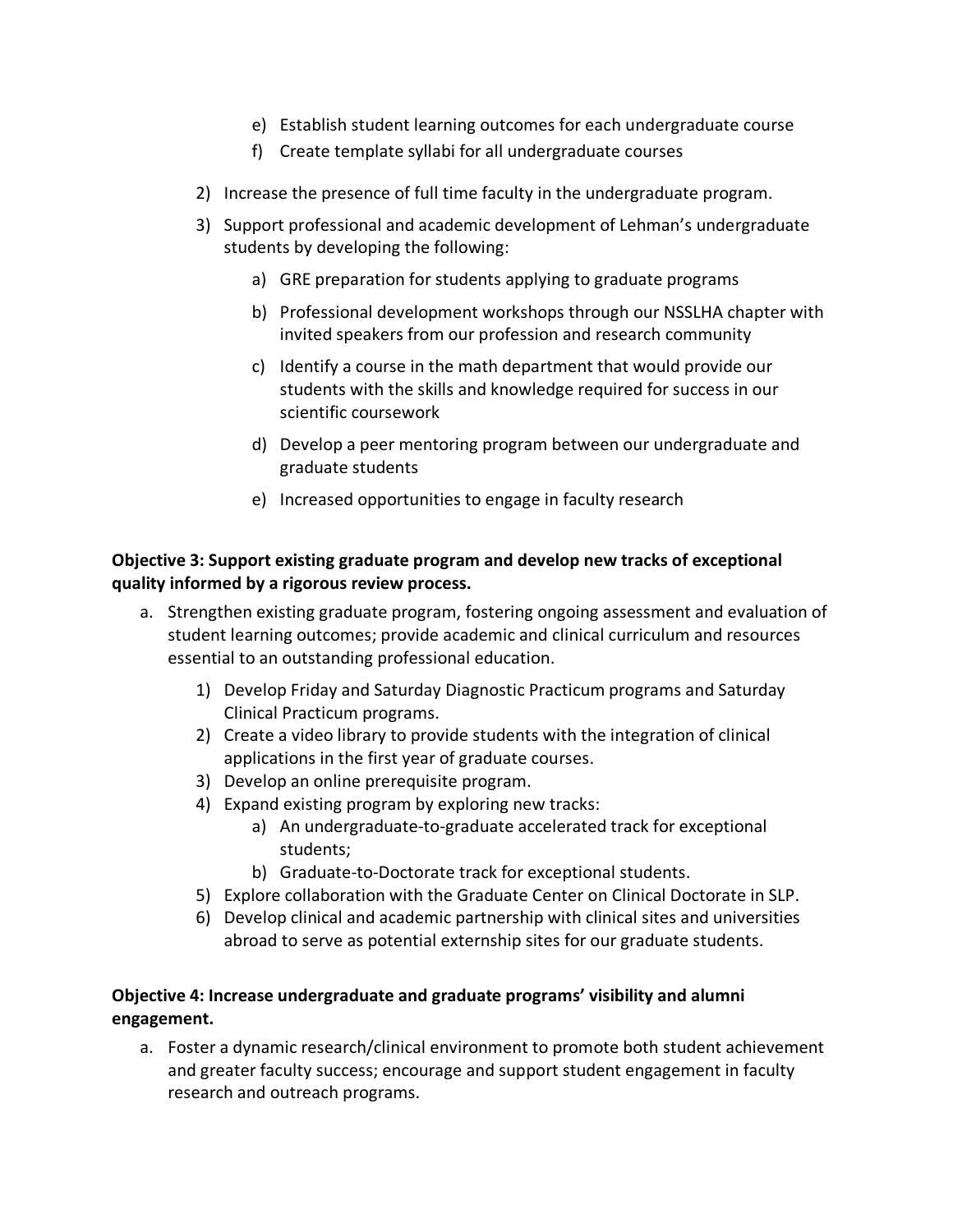- e) Establish student learning outcomes for each undergraduate course
- f) Create template syllabi for all undergraduate courses
- 2) Increase the presence of full time faculty in the undergraduate program.
- 3) Support professional and academic development of Lehman's undergraduate students by developing the following:
	- a) GRE preparation for students applying to graduate programs
	- b) Professional development workshops through our NSSLHA chapter with invited speakers from our profession and research community
	- c) Identify a course in the math department that would provide our students with the skills and knowledge required for success in our scientific coursework
	- d) Develop a peer mentoring program between our undergraduate and graduate students
	- e) Increased opportunities to engage in faculty research

## **Objective 3: Support existing graduate program and develop new tracks of exceptional quality informed by a rigorous review process.**

- a. Strengthen existing graduate program, fostering ongoing assessment and evaluation of student learning outcomes; provide academic and clinical curriculum and resources essential to an outstanding professional education.
	- 1) Develop Friday and Saturday Diagnostic Practicum programs and Saturday Clinical Practicum programs.
	- 2) Create a video library to provide students with the integration of clinical applications in the first year of graduate courses.
	- 3) Develop an online prerequisite program.
	- 4) Expand existing program by exploring new tracks:
		- a) An undergraduate-to-graduate accelerated track for exceptional students;
		- b) Graduate-to-Doctorate track for exceptional students.
	- 5) Explore collaboration with the Graduate Center on Clinical Doctorate in SLP.
	- 6) Develop clinical and academic partnership with clinical sites and universities abroad to serve as potential externship sites for our graduate students.

## **Objective 4: Increase undergraduate and graduate programs' visibility and alumni engagement.**

a. Foster a dynamic research/clinical environment to promote both student achievement and greater faculty success; encourage and support student engagement in faculty research and outreach programs.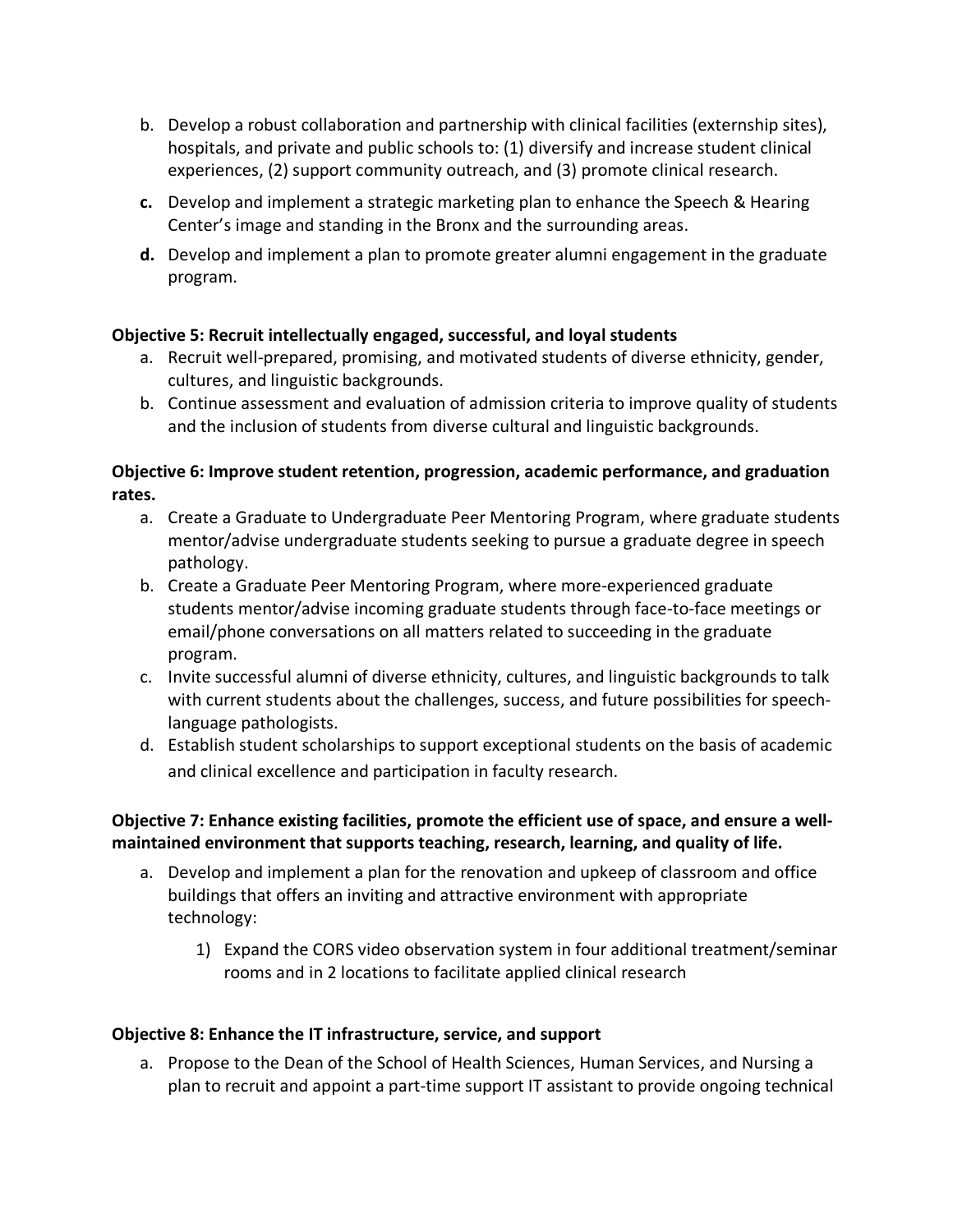- b. Develop a robust collaboration and partnership with clinical facilities (externship sites), hospitals, and private and public schools to: (1) diversify and increase student clinical experiences, (2) support community outreach, and (3) promote clinical research.
- **c.** Develop and implement a strategic marketing plan to enhance the Speech & Hearing Center's image and standing in the Bronx and the surrounding areas.
- **d.** Develop and implement a plan to promote greater alumni engagement in the graduate program.

### **Objective 5: Recruit intellectually engaged, successful, and loyal students**

- a. Recruit well-prepared, promising, and motivated students of diverse ethnicity, gender, cultures, and linguistic backgrounds.
- b. Continue assessment and evaluation of admission criteria to improve quality of students and the inclusion of students from diverse cultural and linguistic backgrounds.

### **Objective 6: Improve student retention, progression, academic performance, and graduation rates.**

- a. Create a Graduate to Undergraduate Peer Mentoring Program, where graduate students mentor/advise undergraduate students seeking to pursue a graduate degree in speech pathology.
- b. Create a Graduate Peer Mentoring Program, where more-experienced graduate students mentor/advise incoming graduate students through face-to-face meetings or email/phone conversations on all matters related to succeeding in the graduate program.
- c. Invite successful alumni of diverse ethnicity, cultures, and linguistic backgrounds to talk with current students about the challenges, success, and future possibilities for speechlanguage pathologists.
- d. Establish student scholarships to support exceptional students on the basis of academic and clinical excellence and participation in faculty research.

## **Objective 7: Enhance existing facilities, promote the efficient use of space, and ensure a wellmaintained environment that supports teaching, research, learning, and quality of life.**

- a. Develop and implement a plan for the renovation and upkeep of classroom and office buildings that offers an inviting and attractive environment with appropriate technology:
	- 1) Expand the CORS video observation system in four additional treatment/seminar rooms and in 2 locations to facilitate applied clinical research

#### **Objective 8: Enhance the IT infrastructure, service, and support**

a. Propose to the Dean of the School of Health Sciences, Human Services, and Nursing a plan to recruit and appoint a part-time support IT assistant to provide ongoing technical